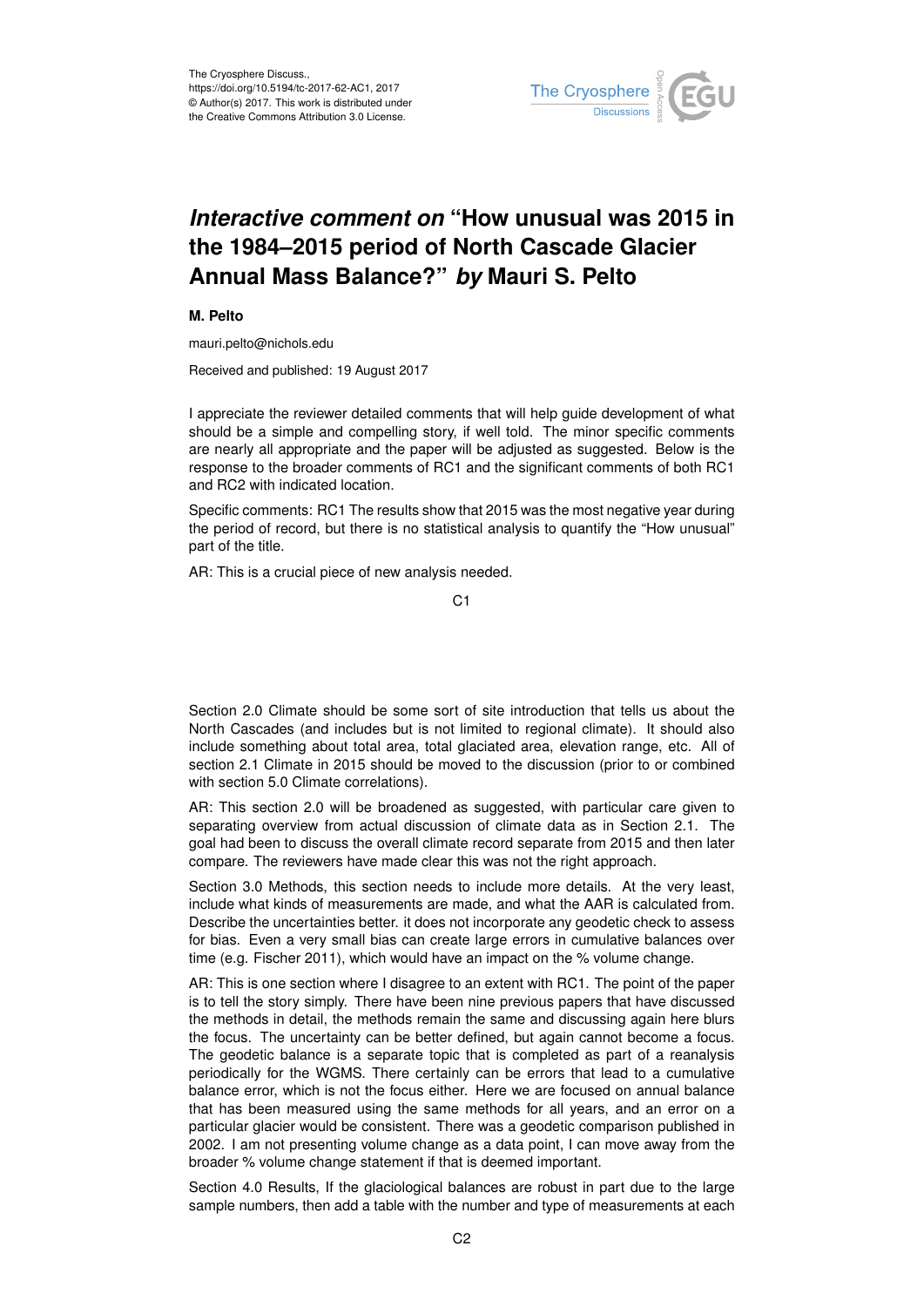

## *Interactive comment on* **"How unusual was 2015 in the 1984–2015 period of North Cascade Glacier Annual Mass Balance?"** *by* **Mauri S. Pelto**

## **M. Pelto**

mauri.pelto@nichols.edu

Received and published: 19 August 2017

I appreciate the reviewer detailed comments that will help guide development of what should be a simple and compelling story, if well told. The minor specific comments are nearly all appropriate and the paper will be adjusted as suggested. Below is the response to the broader comments of RC1 and the significant comments of both RC1 and RC2 with indicated location.

Specific comments: RC1 The results show that 2015 was the most negative year during the period of record, but there is no statistical analysis to quantify the "How unusual" part of the title.

AR: This is a crucial piece of new analysis needed.

Section 2.0 Climate should be some sort of site introduction that tells us about the North Cascades (and includes but is not limited to regional climate). It should also include something about total area, total glaciated area, elevation range, etc. All of section 2.1 Climate in 2015 should be moved to the discussion (prior to or combined with section 5.0 Climate correlations).

AR: This section 2.0 will be broadened as suggested, with particular care given to separating overview from actual discussion of climate data as in Section 2.1. The goal had been to discuss the overall climate record separate from 2015 and then later compare. The reviewers have made clear this was not the right approach.

Section 3.0 Methods, this section needs to include more details. At the very least, include what kinds of measurements are made, and what the AAR is calculated from. Describe the uncertainties better. it does not incorporate any geodetic check to assess for bias. Even a very small bias can create large errors in cumulative balances over time (e.g. Fischer 2011), which would have an impact on the % volume change.

AR: This is one section where I disagree to an extent with RC1. The point of the paper is to tell the story simply. There have been nine previous papers that have discussed the methods in detail, the methods remain the same and discussing again here blurs the focus. The uncertainty can be better defined, but again cannot become a focus. The geodetic balance is a separate topic that is completed as part of a reanalysis periodically for the WGMS. There certainly can be errors that lead to a cumulative balance error, which is not the focus either. Here we are focused on annual balance that has been measured using the same methods for all years, and an error on a particular glacier would be consistent. There was a geodetic comparison published in 2002. I am not presenting volume change as a data point, I can move away from the broader % volume change statement if that is deemed important.

Section 4.0 Results, If the glaciological balances are robust in part due to the large sample numbers, then add a table with the number and type of measurements at each

C1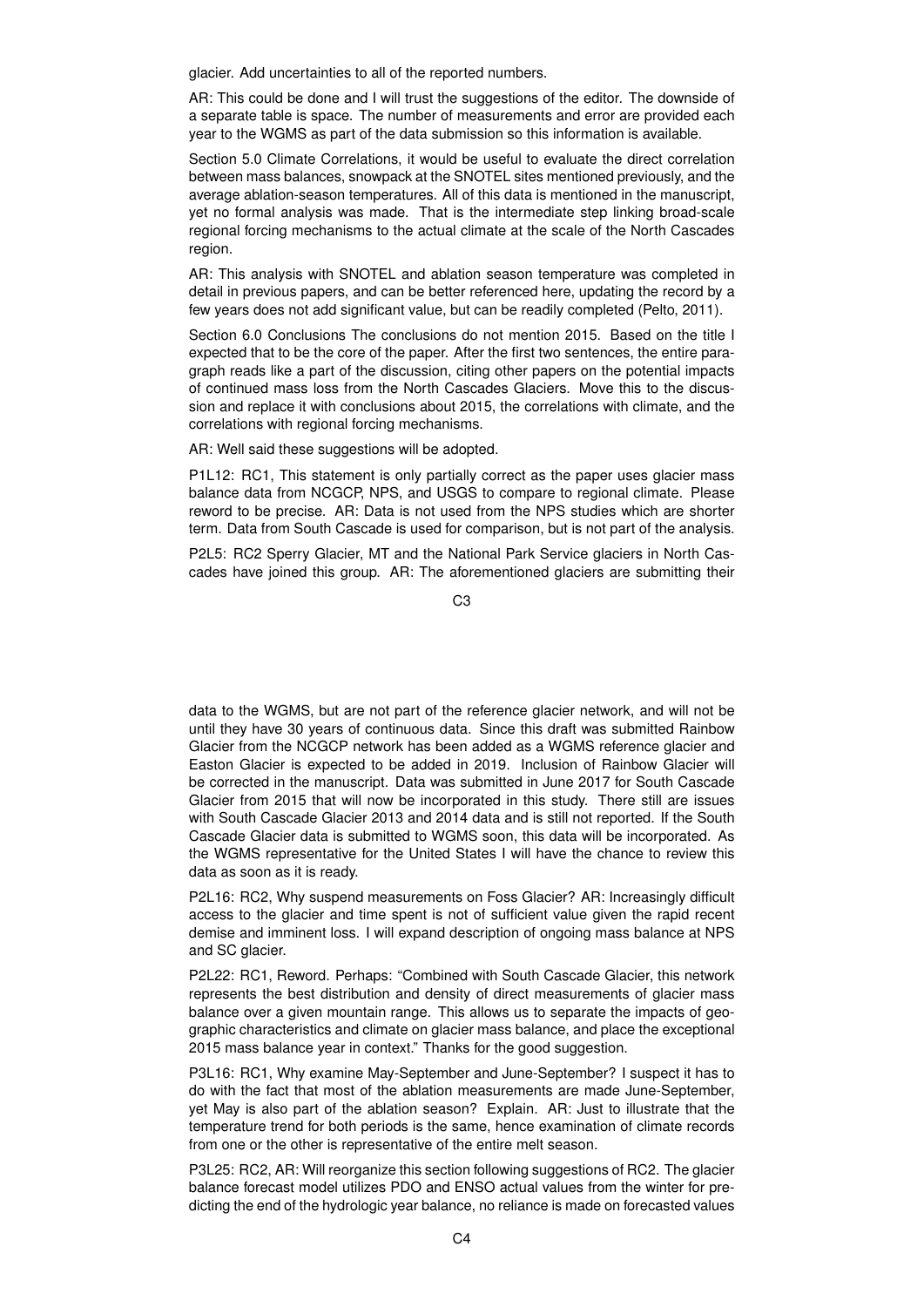glacier. Add uncertainties to all of the reported numbers.

AR: This could be done and I will trust the suggestions of the editor. The downside of a separate table is space. The number of measurements and error are provided each year to the WGMS as part of the data submission so this information is available.

Section 5.0 Climate Correlations, it would be useful to evaluate the direct correlation between mass balances, snowpack at the SNOTEL sites mentioned previously, and the average ablation-season temperatures. All of this data is mentioned in the manuscript, yet no formal analysis was made. That is the intermediate step linking broad-scale regional forcing mechanisms to the actual climate at the scale of the North Cascades region.

AR: This analysis with SNOTEL and ablation season temperature was completed in detail in previous papers, and can be better referenced here, updating the record by a few years does not add significant value, but can be readily completed (Pelto, 2011).

Section 6.0 Conclusions The conclusions do not mention 2015. Based on the title I expected that to be the core of the paper. After the first two sentences, the entire paragraph reads like a part of the discussion, citing other papers on the potential impacts of continued mass loss from the North Cascades Glaciers. Move this to the discussion and replace it with conclusions about 2015, the correlations with climate, and the correlations with regional forcing mechanisms.

AR: Well said these suggestions will be adopted.

P1L12: RC1, This statement is only partially correct as the paper uses glacier mass balance data from NCGCP, NPS, and USGS to compare to regional climate. Please reword to be precise. AR: Data is not used from the NPS studies which are shorter term. Data from South Cascade is used for comparison, but is not part of the analysis.

P2L5: RC2 Sperry Glacier. MT and the National Park Service glaciers in North Cascades have joined this group. AR: The aforementioned glaciers are submitting their

 $C<sub>3</sub>$ 

data to the WGMS, but are not part of the reference glacier network, and will not be until they have 30 years of continuous data. Since this draft was submitted Rainbow Glacier from the NCGCP network has been added as a WGMS reference glacier and Easton Glacier is expected to be added in 2019. Inclusion of Rainbow Glacier will be corrected in the manuscript. Data was submitted in June 2017 for South Cascade Glacier from 2015 that will now be incorporated in this study. There still are issues with South Cascade Glacier 2013 and 2014 data and is still not reported. If the South Cascade Glacier data is submitted to WGMS soon, this data will be incorporated. As the WGMS representative for the United States I will have the chance to review this data as soon as it is ready.

P2L16: RC2, Why suspend measurements on Foss Glacier? AR: Increasingly difficult access to the glacier and time spent is not of sufficient value given the rapid recent demise and imminent loss. I will expand description of ongoing mass balance at NPS and SC glacier.

P2L22: RC1, Reword. Perhaps: "Combined with South Cascade Glacier, this network represents the best distribution and density of direct measurements of glacier mass balance over a given mountain range. This allows us to separate the impacts of geographic characteristics and climate on glacier mass balance, and place the exceptional 2015 mass balance year in context." Thanks for the good suggestion.

P3L16: RC1, Why examine May-September and June-September? I suspect it has to do with the fact that most of the ablation measurements are made June-September, yet May is also part of the ablation season? Explain. AR: Just to illustrate that the temperature trend for both periods is the same, hence examination of climate records from one or the other is representative of the entire melt season.

P3L25: RC2, AR: Will reorganize this section following suggestions of RC2. The glacier balance forecast model utilizes PDO and ENSO actual values from the winter for predicting the end of the hydrologic year balance, no reliance is made on forecasted values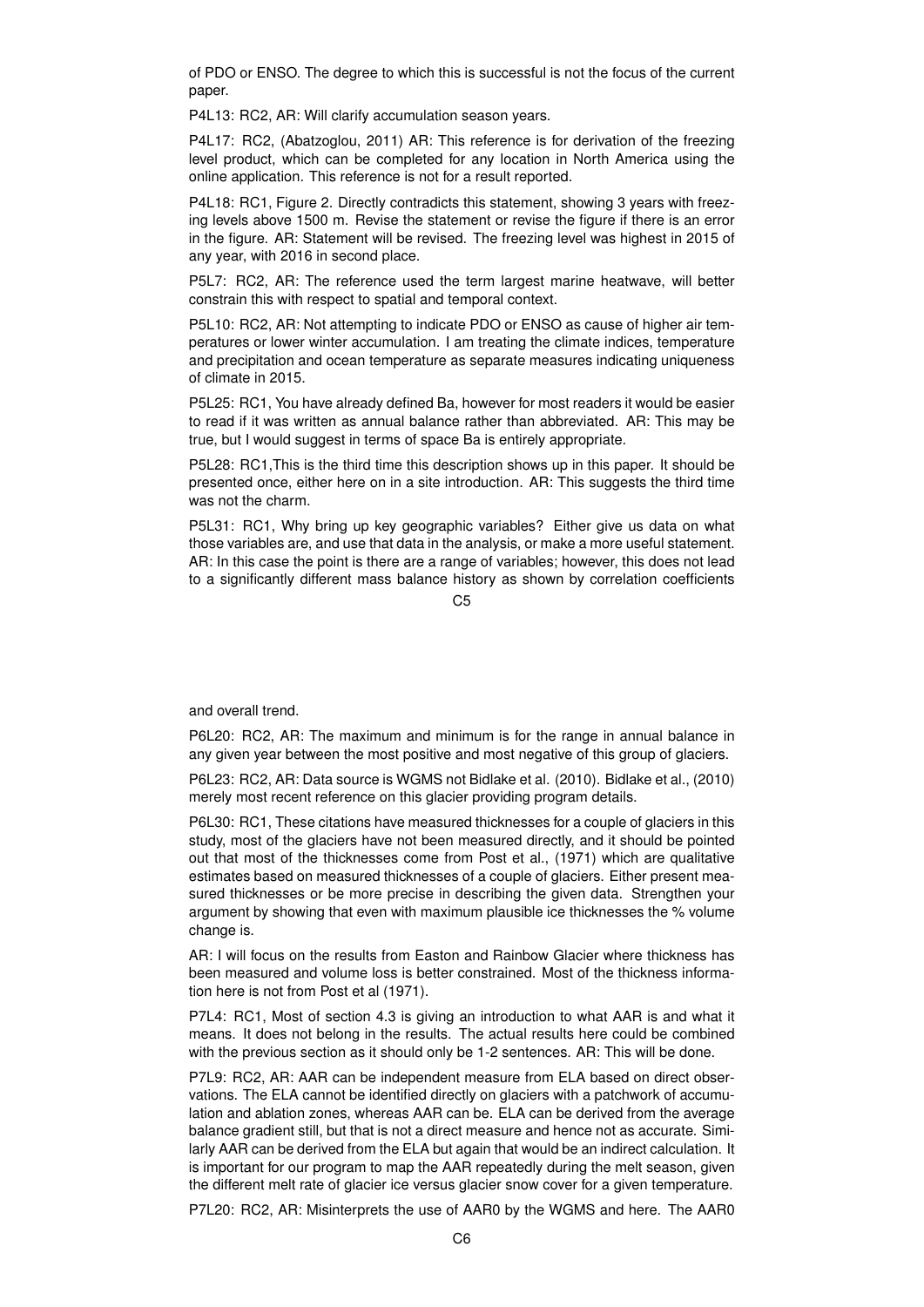of PDO or ENSO. The degree to which this is successful is not the focus of the current paper.

P4L13: RC2, AR: Will clarify accumulation season years.

P4L17: RC2, (Abatzoglou, 2011) AR: This reference is for derivation of the freezing level product, which can be completed for any location in North America using the online application. This reference is not for a result reported.

P4L18: RC1, Figure 2. Directly contradicts this statement, showing 3 years with freezing levels above 1500 m. Revise the statement or revise the figure if there is an error in the figure. AR: Statement will be revised. The freezing level was highest in 2015 of any year, with 2016 in second place.

P5L7: RC2, AR: The reference used the term largest marine heatwave, will better constrain this with respect to spatial and temporal context.

P5L10: RC2, AR: Not attempting to indicate PDO or ENSO as cause of higher air temperatures or lower winter accumulation. I am treating the climate indices, temperature and precipitation and ocean temperature as separate measures indicating uniqueness of climate in 2015.

P5L25: RC1, You have already defined Ba, however for most readers it would be easier to read if it was written as annual balance rather than abbreviated. AR: This may be true, but I would suggest in terms of space Ba is entirely appropriate.

P5L28: RC1,This is the third time this description shows up in this paper. It should be presented once, either here on in a site introduction. AR: This suggests the third time was not the charm.

P5L31: RC1, Why bring up key geographic variables? Either give us data on what those variables are, and use that data in the analysis, or make a more useful statement. AR: In this case the point is there are a range of variables; however, this does not lead to a significantly different mass balance history as shown by correlation coefficients

 $C<sub>5</sub>$ 

and overall trend.

P6L20: RC2, AR: The maximum and minimum is for the range in annual balance in any given year between the most positive and most negative of this group of glaciers.

P6L23: RC2, AR: Data source is WGMS not Bidlake et al. (2010). Bidlake et al., (2010) merely most recent reference on this glacier providing program details.

P6L30: RC1, These citations have measured thicknesses for a couple of glaciers in this study, most of the glaciers have not been measured directly, and it should be pointed out that most of the thicknesses come from Post et al., (1971) which are qualitative estimates based on measured thicknesses of a couple of glaciers. Either present measured thicknesses or be more precise in describing the given data. Strengthen your argument by showing that even with maximum plausible ice thicknesses the % volume change is.

AR: I will focus on the results from Easton and Rainbow Glacier where thickness has been measured and volume loss is better constrained. Most of the thickness information here is not from Post et al (1971).

P7L4: RC1, Most of section 4.3 is giving an introduction to what AAR is and what it means. It does not belong in the results. The actual results here could be combined with the previous section as it should only be 1-2 sentences. AR: This will be done.

P7L9: RC2, AR: AAR can be independent measure from ELA based on direct observations. The ELA cannot be identified directly on glaciers with a patchwork of accumulation and ablation zones, whereas AAR can be. ELA can be derived from the average balance gradient still, but that is not a direct measure and hence not as accurate. Similarly AAR can be derived from the ELA but again that would be an indirect calculation. It is important for our program to map the AAR repeatedly during the melt season, given the different melt rate of glacier ice versus glacier snow cover for a given temperature.

P7L20: RC2, AR: Misinterprets the use of AAR0 by the WGMS and here. The AAR0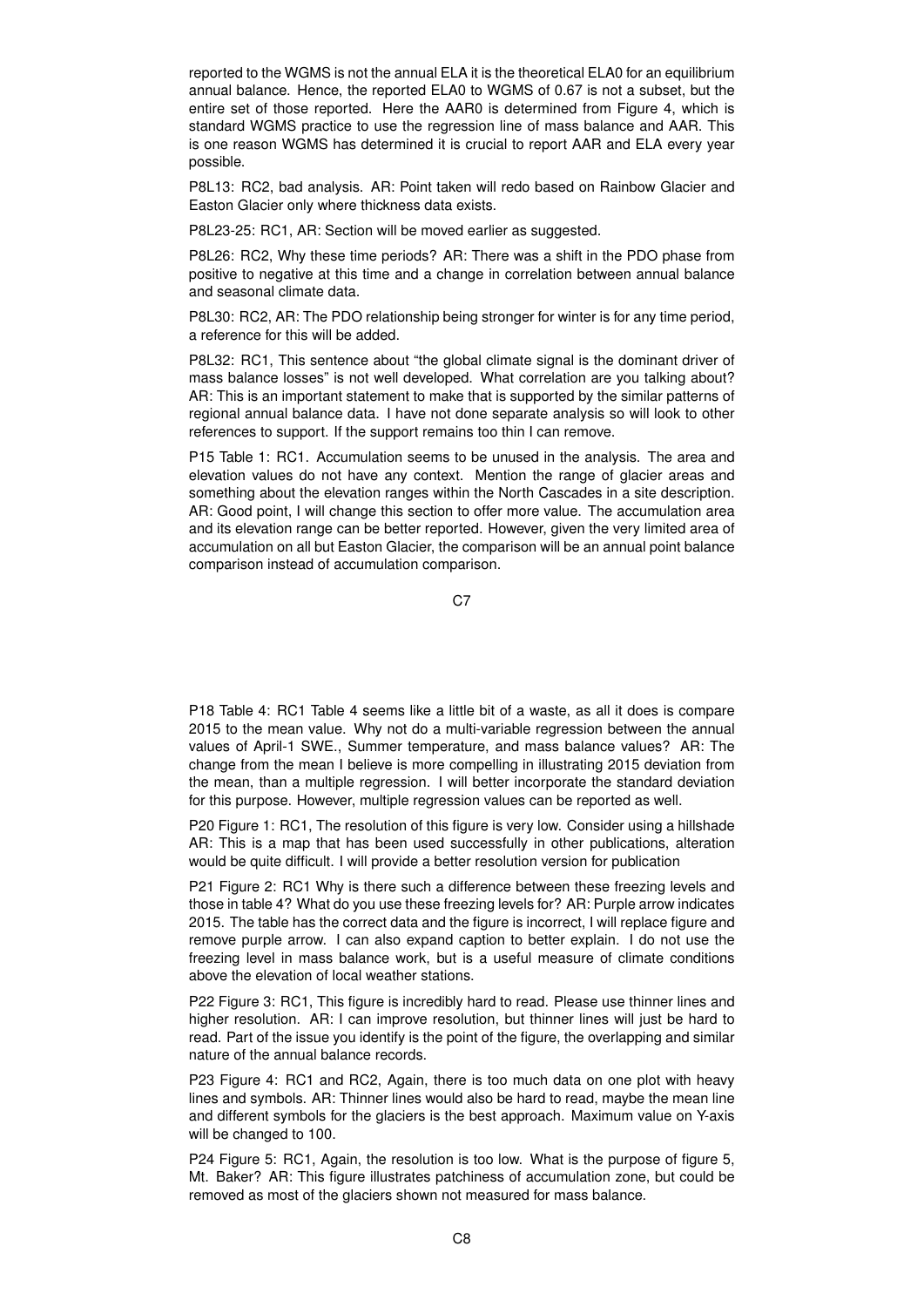reported to the WGMS is not the annual ELA it is the theoretical ELA0 for an equilibrium annual balance. Hence, the reported ELA0 to WGMS of 0.67 is not a subset, but the entire set of those reported. Here the AAR0 is determined from Figure 4, which is standard WGMS practice to use the regression line of mass balance and AAR. This is one reason WGMS has determined it is crucial to report AAR and ELA every year possible.

P8L13: RC2, bad analysis. AR: Point taken will redo based on Rainbow Glacier and Easton Glacier only where thickness data exists.

P8L23-25: RC1, AR: Section will be moved earlier as suggested.

P8L26: RC2, Why these time periods? AR: There was a shift in the PDO phase from positive to negative at this time and a change in correlation between annual balance and seasonal climate data.

P8L30: RC2, AR: The PDO relationship being stronger for winter is for any time period, a reference for this will be added.

P8L32: RC1, This sentence about "the global climate signal is the dominant driver of mass balance losses" is not well developed. What correlation are you talking about? AR: This is an important statement to make that is supported by the similar patterns of regional annual balance data. I have not done separate analysis so will look to other references to support. If the support remains too thin I can remove.

P15 Table 1: RC1. Accumulation seems to be unused in the analysis. The area and elevation values do not have any context. Mention the range of glacier areas and something about the elevation ranges within the North Cascades in a site description. AR: Good point, I will change this section to offer more value. The accumulation area and its elevation range can be better reported. However, given the very limited area of accumulation on all but Easton Glacier, the comparison will be an annual point balance comparison instead of accumulation comparison.

C<sub>7</sub>

P18 Table 4: RC1 Table 4 seems like a little bit of a waste, as all it does is compare 2015 to the mean value. Why not do a multi-variable regression between the annual values of April-1 SWE., Summer temperature, and mass balance values? AR: The change from the mean I believe is more compelling in illustrating 2015 deviation from the mean, than a multiple regression. I will better incorporate the standard deviation for this purpose. However, multiple regression values can be reported as well.

P20 Figure 1: RC1, The resolution of this figure is very low. Consider using a hillshade AR: This is a map that has been used successfully in other publications, alteration would be quite difficult. I will provide a better resolution version for publication

P21 Figure 2: RC1 Why is there such a difference between these freezing levels and those in table 4? What do you use these freezing levels for? AR: Purple arrow indicates 2015. The table has the correct data and the figure is incorrect, I will replace figure and remove purple arrow. I can also expand caption to better explain. I do not use the freezing level in mass balance work, but is a useful measure of climate conditions above the elevation of local weather stations.

P22 Figure 3: RC1, This figure is incredibly hard to read. Please use thinner lines and higher resolution. AR: I can improve resolution, but thinner lines will just be hard to read. Part of the issue you identify is the point of the figure, the overlapping and similar nature of the annual balance records.

P23 Figure 4: RC1 and RC2, Again, there is too much data on one plot with heavy lines and symbols. AR: Thinner lines would also be hard to read, maybe the mean line and different symbols for the glaciers is the best approach. Maximum value on Y-axis will be changed to 100.

P24 Figure 5: RC1, Again, the resolution is too low. What is the purpose of figure 5, Mt. Baker? AR: This figure illustrates patchiness of accumulation zone, but could be removed as most of the glaciers shown not measured for mass balance.